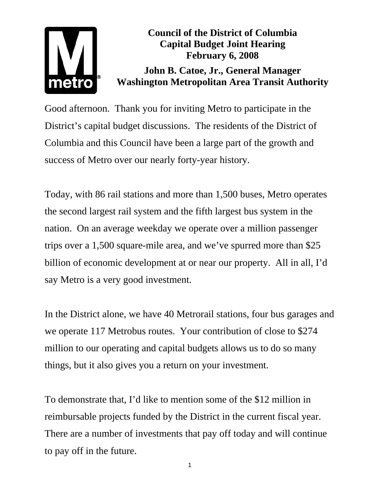## metro

**Council of the District of Columbia Capital Budget Joint Hearing February 6, 2008** 

**John B. Catoe, Jr., General Manager Washington Metropolitan Area Transit Authority** 

Good afternoon. Thank you for inviting Metro to participate in the District's capital budget discussions. The residents of the District of Columbia and this Council have been a large part of the growth and success of Metro over our nearly forty-year history.

Today, with 86 rail stations and more than 1,500 buses, Metro operates the second largest rail system and the fifth largest bus system in the nation. On an average weekday we operate over a million passenger trips over a 1,500 square-mile area, and we've spurred more than \$25 billion of economic development at or near our property. All in all, I'd say Metro is a very good investment.

In the District alone, we have 40 Metrorail stations, four bus garages and we operate 117 Metrobus routes. Your contribution of close to \$274 million to our operating and capital budgets allows us to do so many things, but it also gives you a return on your investment.

To demonstrate that, I'd like to mention some of the \$12 million in reimbursable projects funded by the District in the current fiscal year. There are a number of investments that pay off today and will continue to pay off in the future.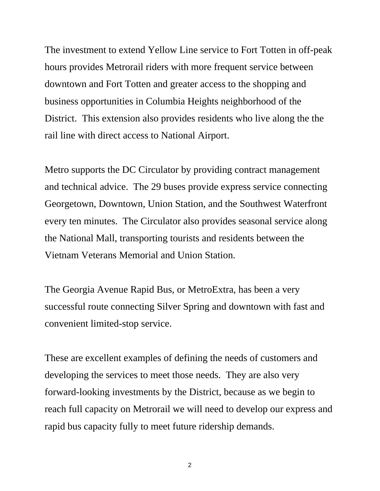The investment to extend Yellow Line service to Fort Totten in off-peak hours provides Metrorail riders with more frequent service between downtown and Fort Totten and greater access to the shopping and business opportunities in Columbia Heights neighborhood of the District. This extension also provides residents who live along the the rail line with direct access to National Airport.

Metro supports the DC Circulator by providing contract management and technical advice. The 29 buses provide express service connecting Georgetown, Downtown, Union Station, and the Southwest Waterfront every ten minutes. The Circulator also provides seasonal service along the National Mall, transporting tourists and residents between the Vietnam Veterans Memorial and Union Station.

The Georgia Avenue Rapid Bus, or MetroExtra, has been a very successful route connecting Silver Spring and downtown with fast and convenient limited-stop service.

These are excellent examples of defining the needs of customers and developing the services to meet those needs. They are also very forward-looking investments by the District, because as we begin to reach full capacity on Metrorail we will need to develop our express and rapid bus capacity fully to meet future ridership demands.

2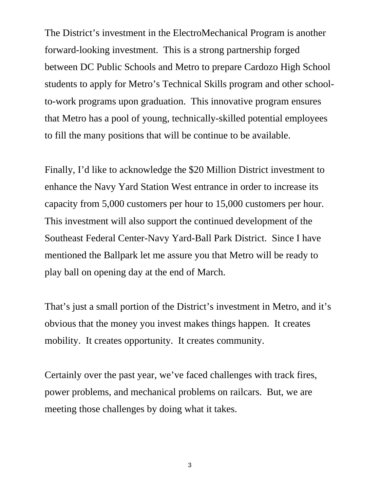The District's investment in the ElectroMechanical Program is another forward-looking investment. This is a strong partnership forged between DC Public Schools and Metro to prepare Cardozo High School students to apply for Metro's Technical Skills program and other schoolto-work programs upon graduation. This innovative program ensures that Metro has a pool of young, technically-skilled potential employees to fill the many positions that will be continue to be available.

Finally, I'd like to acknowledge the \$20 Million District investment to enhance the Navy Yard Station West entrance in order to increase its capacity from 5,000 customers per hour to 15,000 customers per hour. This investment will also support the continued development of the Southeast Federal Center-Navy Yard-Ball Park District. Since I have mentioned the Ballpark let me assure you that Metro will be ready to play ball on opening day at the end of March.

That's just a small portion of the District's investment in Metro, and it's obvious that the money you invest makes things happen. It creates mobility. It creates opportunity. It creates community.

Certainly over the past year, we've faced challenges with track fires, power problems, and mechanical problems on railcars. But, we are meeting those challenges by doing what it takes.

3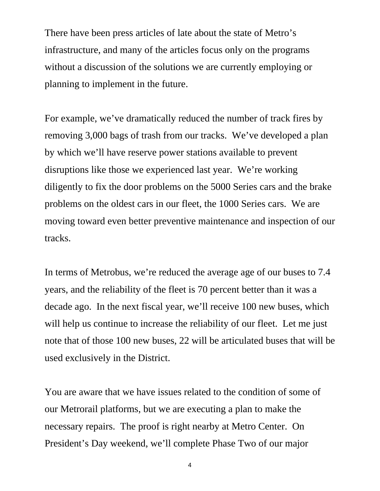There have been press articles of late about the state of Metro's infrastructure, and many of the articles focus only on the programs without a discussion of the solutions we are currently employing or planning to implement in the future.

For example, we've dramatically reduced the number of track fires by removing 3,000 bags of trash from our tracks. We've developed a plan by which we'll have reserve power stations available to prevent disruptions like those we experienced last year. We're working diligently to fix the door problems on the 5000 Series cars and the brake problems on the oldest cars in our fleet, the 1000 Series cars. We are moving toward even better preventive maintenance and inspection of our tracks.

In terms of Metrobus, we're reduced the average age of our buses to 7.4 years, and the reliability of the fleet is 70 percent better than it was a decade ago. In the next fiscal year, we'll receive 100 new buses, which will help us continue to increase the reliability of our fleet. Let me just note that of those 100 new buses, 22 will be articulated buses that will be used exclusively in the District.

You are aware that we have issues related to the condition of some of our Metrorail platforms, but we are executing a plan to make the necessary repairs. The proof is right nearby at Metro Center. On President's Day weekend, we'll complete Phase Two of our major

4